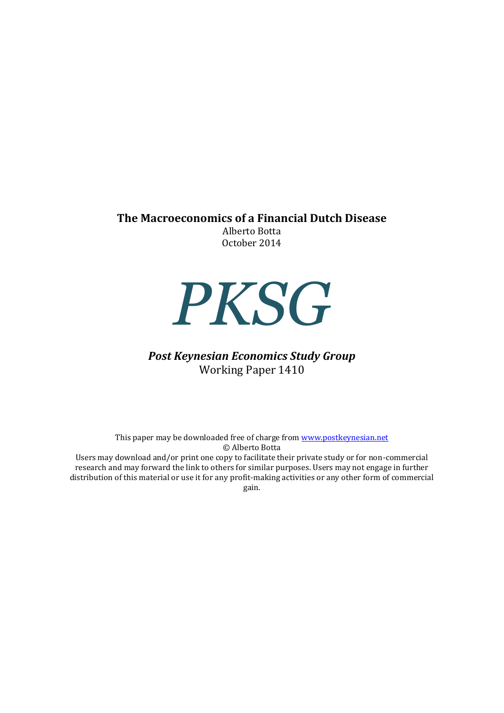### **The Macroeconomics of a Financial Dutch Disease**

Alberto Botta October 2014



# *Post Keynesian Economics Study Group* Working Paper 1410

This paper may be downloaded free of charge from [www.postkeynesian.net](http://www.postkeynesian.net/) © Alberto Botta Users may download and/or print one copy to facilitate their private study or for non-commercial research and may forward the link to others for similar purposes. Users may not engage in further distribution of this material or use it for any profit-making activities or any other form of commercial

gain.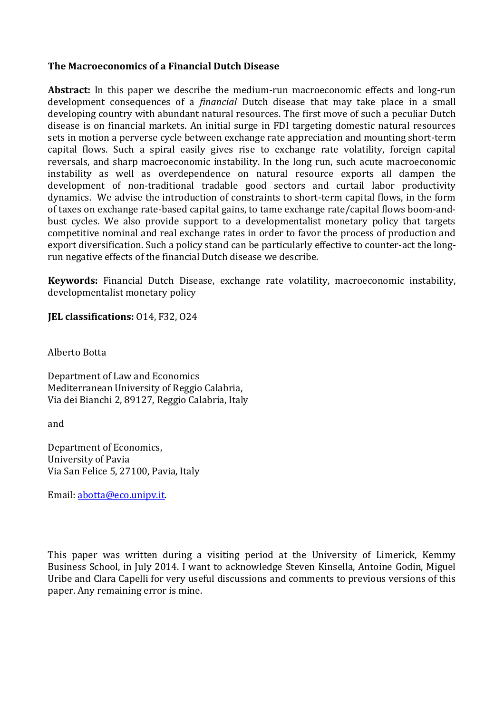### **The Macroeconomics of a Financial Dutch Disease**

**Abstract:** In this paper we describe the medium-run macroeconomic effects and long-run development consequences of a *financial* Dutch disease that may take place in a small developing country with abundant natural resources. The first move of such a peculiar Dutch disease is on financial markets. An initial surge in FDI targeting domestic natural resources sets in motion a perverse cycle between exchange rate appreciation and mounting short-term capital flows. Such a spiral easily gives rise to exchange rate volatility, foreign capital reversals, and sharp macroeconomic instability. In the long run, such acute macroeconomic instability as well as overdependence on natural resource exports all dampen the development of non-traditional tradable good sectors and curtail labor productivity dynamics. We advise the introduction of constraints to short-term capital flows, in the form of taxes on exchange rate-based capital gains, to tame exchange rate/capital flows boom-andbust cycles. We also provide support to a developmentalist monetary policy that targets competitive nominal and real exchange rates in order to favor the process of production and export diversification. Such a policy stand can be particularly effective to counter-act the longrun negative effects of the financial Dutch disease we describe.

**Keywords:** Financial Dutch Disease, exchange rate volatility, macroeconomic instability, developmentalist monetary policy

**JEL classifications:** O14, F32, O24

Alberto Botta

Department of Law and Economics Mediterranean University of Reggio Calabria, Via dei Bianchi 2, 89127, Reggio Calabria, Italy

and

Department of Economics, University of Pavia Via San Felice 5, 27100, Pavia, Italy

Email: [abotta@eco.unipv.it.](mailto:abotta@eco.unipv.it)

This paper was written during a visiting period at the University of Limerick, Kemmy Business School, in July 2014. I want to acknowledge Steven Kinsella, Antoine Godin, Miguel Uribe and Clara Capelli for very useful discussions and comments to previous versions of this paper. Any remaining error is mine.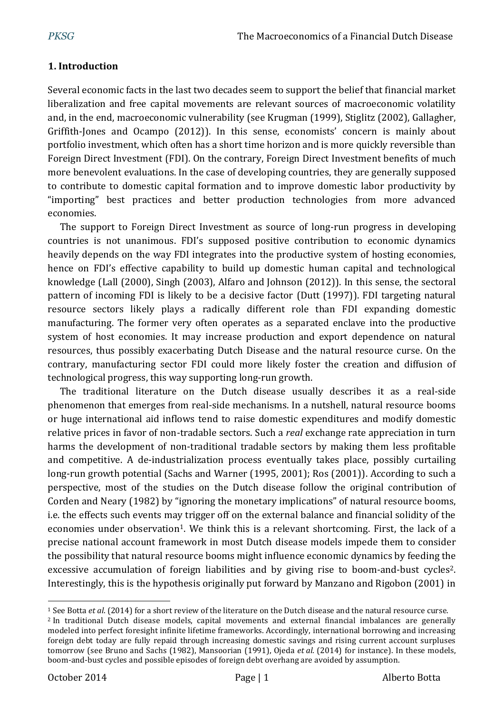## **1. Introduction**

Several economic facts in the last two decades seem to support the belief that financial market liberalization and free capital movements are relevant sources of macroeconomic volatility and, in the end, macroeconomic vulnerability (see Krugman (1999), Stiglitz (2002), Gallagher, Griffith-Jones and Ocampo (2012)). In this sense, economists' concern is mainly about portfolio investment, which often has a short time horizon and is more quickly reversible than Foreign Direct Investment (FDI). On the contrary, Foreign Direct Investment benefits of much more benevolent evaluations. In the case of developing countries, they are generally supposed to contribute to domestic capital formation and to improve domestic labor productivity by "importing" best practices and better production technologies from more advanced economies.

The support to Foreign Direct Investment as source of long-run progress in developing countries is not unanimous. FDI's supposed positive contribution to economic dynamics heavily depends on the way FDI integrates into the productive system of hosting economies, hence on FDI's effective capability to build up domestic human capital and technological knowledge (Lall (2000), Singh (2003), Alfaro and Johnson (2012)). In this sense, the sectoral pattern of incoming FDI is likely to be a decisive factor (Dutt (1997)). FDI targeting natural resource sectors likely plays a radically different role than FDI expanding domestic manufacturing. The former very often operates as a separated enclave into the productive system of host economies. It may increase production and export dependence on natural resources, thus possibly exacerbating Dutch Disease and the natural resource curse. On the contrary, manufacturing sector FDI could more likely foster the creation and diffusion of technological progress, this way supporting long-run growth.

The traditional literature on the Dutch disease usually describes it as a real-side phenomenon that emerges from real-side mechanisms. In a nutshell, natural resource booms or huge international aid inflows tend to raise domestic expenditures and modify domestic relative prices in favor of non-tradable sectors. Such a *real* exchange rate appreciation in turn harms the development of non-traditional tradable sectors by making them less profitable and competitive. A de-industrialization process eventually takes place, possibly curtailing long-run growth potential (Sachs and Warner (1995, 2001); Ros (2001)). According to such a perspective, most of the studies on the Dutch disease follow the original contribution of Corden and Neary (1982) by "ignoring the monetary implications" of natural resource booms, i.e. the effects such events may trigger off on the external balance and financial solidity of the economies under observation<sup>1</sup>. We think this is a relevant shortcoming. First, the lack of a precise national account framework in most Dutch disease models impede them to consider the possibility that natural resource booms might influence economic dynamics by feeding the excessive accumulation of foreign liabilities and by giving rise to boom-and-bust cycles<sup>2</sup>. Interestingly, this is the hypothesis originally put forward by Manzano and Rigobon (2001) in

<sup>1</sup> See Botta *et al*. (2014) for a short review of the literature on the Dutch disease and the natural resource curse. <sup>2</sup> In traditional Dutch disease models, capital movements and external financial imbalances are generally modeled into perfect foresight infinite lifetime frameworks. Accordingly, international borrowing and increasing foreign debt today are fully repaid through increasing domestic savings and rising current account surpluses tomorrow (see Bruno and Sachs (1982), Mansoorian (1991), Ojeda *et al*. (2014) for instance). In these models, boom-and-bust cycles and possible episodes of foreign debt overhang are avoided by assumption.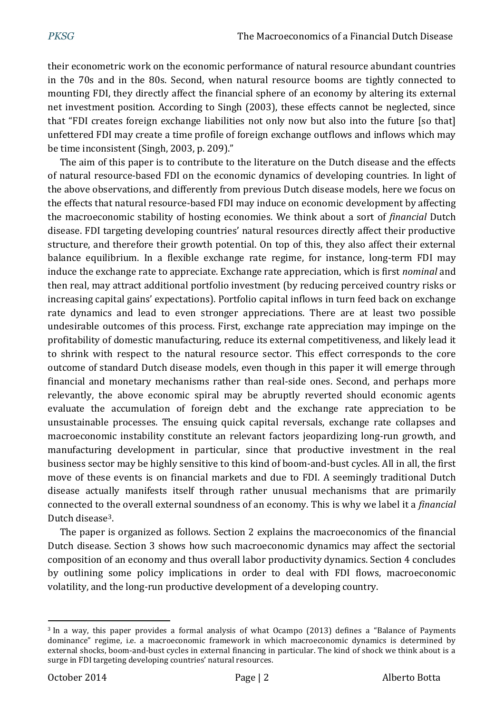their econometric work on the economic performance of natural resource abundant countries in the 70s and in the 80s. Second, when natural resource booms are tightly connected to mounting FDI, they directly affect the financial sphere of an economy by altering its external net investment position. According to Singh (2003), these effects cannot be neglected, since that "FDI creates foreign exchange liabilities not only now but also into the future [so that] unfettered FDI may create a time profile of foreign exchange outflows and inflows which may be time inconsistent (Singh, 2003, p. 209)."

The aim of this paper is to contribute to the literature on the Dutch disease and the effects of natural resource-based FDI on the economic dynamics of developing countries. In light of the above observations, and differently from previous Dutch disease models, here we focus on the effects that natural resource-based FDI may induce on economic development by affecting the macroeconomic stability of hosting economies. We think about a sort of *financial* Dutch disease. FDI targeting developing countries' natural resources directly affect their productive structure, and therefore their growth potential. On top of this, they also affect their external balance equilibrium. In a flexible exchange rate regime, for instance, long-term FDI may induce the exchange rate to appreciate. Exchange rate appreciation, which is first *nominal* and then real, may attract additional portfolio investment (by reducing perceived country risks or increasing capital gains' expectations). Portfolio capital inflows in turn feed back on exchange rate dynamics and lead to even stronger appreciations. There are at least two possible undesirable outcomes of this process. First, exchange rate appreciation may impinge on the profitability of domestic manufacturing, reduce its external competitiveness, and likely lead it to shrink with respect to the natural resource sector. This effect corresponds to the core outcome of standard Dutch disease models, even though in this paper it will emerge through financial and monetary mechanisms rather than real-side ones. Second, and perhaps more relevantly, the above economic spiral may be abruptly reverted should economic agents evaluate the accumulation of foreign debt and the exchange rate appreciation to be unsustainable processes. The ensuing quick capital reversals, exchange rate collapses and macroeconomic instability constitute an relevant factors jeopardizing long-run growth, and manufacturing development in particular, since that productive investment in the real business sector may be highly sensitive to this kind of boom-and-bust cycles. All in all, the first move of these events is on financial markets and due to FDI. A seemingly traditional Dutch disease actually manifests itself through rather unusual mechanisms that are primarily connected to the overall external soundness of an economy. This is why we label it a *financial* Dutch disease3.

The paper is organized as follows. Section 2 explains the macroeconomics of the financial Dutch disease. Section 3 shows how such macroeconomic dynamics may affect the sectorial composition of an economy and thus overall labor productivity dynamics. Section 4 concludes by outlining some policy implications in order to deal with FDI flows, macroeconomic volatility, and the long-run productive development of a developing country.

<sup>3</sup> In a way, this paper provides a formal analysis of what Ocampo (2013) defines a "Balance of Payments dominance" regime, i.e. a macroeconomic framework in which macroeconomic dynamics is determined by external shocks, boom-and-bust cycles in external financing in particular. The kind of shock we think about is a surge in FDI targeting developing countries' natural resources.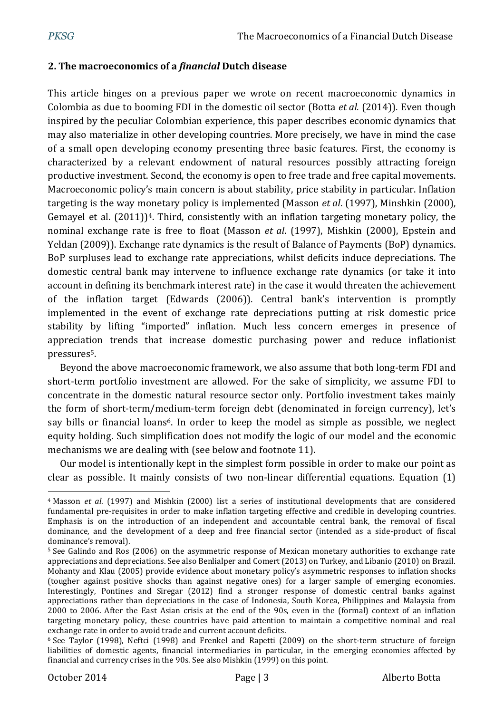## **2. The macroeconomics of a** *financial* **Dutch disease**

This article hinges on a previous paper we wrote on recent macroeconomic dynamics in Colombia as due to booming FDI in the domestic oil sector (Botta *et al*. (2014)). Even though inspired by the peculiar Colombian experience, this paper describes economic dynamics that may also materialize in other developing countries. More precisely, we have in mind the case of a small open developing economy presenting three basic features. First, the economy is characterized by a relevant endowment of natural resources possibly attracting foreign productive investment. Second, the economy is open to free trade and free capital movements. Macroeconomic policy's main concern is about stability, price stability in particular. Inflation targeting is the way monetary policy is implemented (Masson *et al*. (1997), Minshkin (2000), Gemayel et al.  $(2011)$ <sup>4</sup>. Third, consistently with an inflation targeting monetary policy, the nominal exchange rate is free to float (Masson *et al*. (1997), Mishkin (2000), Epstein and Yeldan (2009)). Exchange rate dynamics is the result of Balance of Payments (BoP) dynamics. BoP surpluses lead to exchange rate appreciations, whilst deficits induce depreciations. The domestic central bank may intervene to influence exchange rate dynamics (or take it into account in defining its benchmark interest rate) in the case it would threaten the achievement of the inflation target (Edwards (2006)). Central bank's intervention is promptly implemented in the event of exchange rate depreciations putting at risk domestic price stability by lifting "imported" inflation. Much less concern emerges in presence of appreciation trends that increase domestic purchasing power and reduce inflationist pressures 5.

Beyond the above macroeconomic framework, we also assume that both long-term FDI and short-term portfolio investment are allowed. For the sake of simplicity, we assume FDI to concentrate in the domestic natural resource sector only. Portfolio investment takes mainly the form of short-term/medium-term foreign debt (denominated in foreign currency), let's say bills or financial loans<sup>6</sup>. In order to keep the model as simple as possible, we neglect equity holding. Such simplification does not modify the logic of our model and the economic mechanisms we are dealing with (see below and footnote 11).

Our model is intentionally kept in the simplest form possible in order to make our point as clear as possible. It mainly consists of two non-linear differential equations. Equation (1)

 $\overline{a}$ <sup>4</sup> Masson *et al*. (1997) and Mishkin (2000) list a series of institutional developments that are considered fundamental pre-requisites in order to make inflation targeting effective and credible in developing countries. Emphasis is on the introduction of an independent and accountable central bank, the removal of fiscal dominance, and the development of a deep and free financial sector (intended as a side-product of fiscal dominance's removal).

<sup>5</sup> See Galindo and Ros (2006) on the asymmetric response of Mexican monetary authorities to exchange rate appreciations and depreciations. See also Benlialper and Comert (2013) on Turkey, and Libanio (2010) on Brazil. Mohanty and Klau (2005) provide evidence about monetary policy's asymmetric responses to inflation shocks (tougher against positive shocks than against negative ones) for a larger sample of emerging economies. Interestingly, Pontines and Siregar (2012) find a stronger response of domestic central banks against appreciations rather than depreciations in the case of Indonesia, South Korea, Philippines and Malaysia from 2000 to 2006. After the East Asian crisis at the end of the 90s, even in the (formal) context of an inflation targeting monetary policy, these countries have paid attention to maintain a competitive nominal and real exchange rate in order to avoid trade and current account deficits.

<sup>6</sup> See Taylor (1998), Neftci (1998) and Frenkel and Rapetti (2009) on the short-term structure of foreign liabilities of domestic agents, financial intermediaries in particular, in the emerging economies affected by financial and currency crises in the 90s. See also Mishkin (1999) on this point.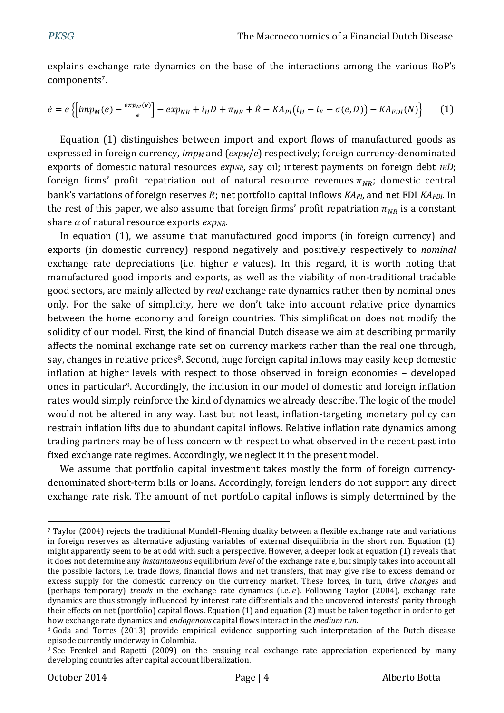explains exchange rate dynamics on the base of the interactions among the various BoP's components7.

$$
\dot{e} = e \left\{ \left[ imp_M(e) - \frac{exp_M(e)}{e} \right] - exp_{NR} + i_H D + \pi_{NR} + \dot{R} - KA_{PI}(i_H - i_F - \sigma(e, D)) - KA_{FDI}(N) \right\}
$$
 (1)

Equation (1) distinguishes between import and export flows of manufactured goods as expressed in foreign currency, *imp<sup>M</sup>* and (*expM*/*e*) respectively; foreign currency-denominated exports of domestic natural resources *expNR*, say oil; interest payments on foreign debt *iHD*; foreign firms' profit repatriation out of natural resource revenues  $\pi_{NR}$ ; domestic central bank's variations of foreign reserves  $\vec{R}$ ; net portfolio capital inflows *KA*<sub>*PI*</sub>, and net FDI *KA*<sub>*FDI*</sub>. In the rest of this paper, we also assume that foreign firms' profit repatriation  $\pi_{NR}$  is a constant share *α* of natural resource exports *expNR*.

In equation (1), we assume that manufactured good imports (in foreign currency) and exports (in domestic currency) respond negatively and positively respectively to *nominal* exchange rate depreciations (i.e. higher *e* values). In this regard, it is worth noting that manufactured good imports and exports, as well as the viability of non-traditional tradable good sectors, are mainly affected by *real* exchange rate dynamics rather then by nominal ones only. For the sake of simplicity, here we don't take into account relative price dynamics between the home economy and foreign countries. This simplification does not modify the solidity of our model. First, the kind of financial Dutch disease we aim at describing primarily affects the nominal exchange rate set on currency markets rather than the real one through, say, changes in relative prices<sup>8</sup>. Second, huge foreign capital inflows may easily keep domestic inflation at higher levels with respect to those observed in foreign economies – developed ones in particular9. Accordingly, the inclusion in our model of domestic and foreign inflation rates would simply reinforce the kind of dynamics we already describe. The logic of the model would not be altered in any way. Last but not least, inflation-targeting monetary policy can restrain inflation lifts due to abundant capital inflows. Relative inflation rate dynamics among trading partners may be of less concern with respect to what observed in the recent past into fixed exchange rate regimes. Accordingly, we neglect it in the present model.

We assume that portfolio capital investment takes mostly the form of foreign currencydenominated short-term bills or loans. Accordingly, foreign lenders do not support any direct exchange rate risk. The amount of net portfolio capital inflows is simply determined by the

 $\overline{a}$ <sup>7</sup> Taylor (2004) rejects the traditional Mundell-Fleming duality between a flexible exchange rate and variations in foreign reserves as alternative adjusting variables of external disequilibria in the short run. Equation (1) might apparently seem to be at odd with such a perspective. However, a deeper look at equation (1) reveals that it does not determine any *instantaneous* equilibrium *level* of the exchange rate *e*, but simply takes into account all the possible factors, i.e. trade flows, financial flows and net transfers, that may give rise to excess demand or excess supply for the domestic currency on the currency market. These forces, in turn, drive *changes* and (perhaps temporary) *trends* in the exchange rate dynamics (i.e.  $\dot{e}$ ). Following Taylor (2004), exchange rate dynamics are thus strongly influenced by interest rate differentials and the uncovered interests' parity through their effects on net (portfolio) capital flows. Equation (1) and equation (2) must be taken together in order to get how exchange rate dynamics and *endogenous* capital flows interact in the *medium run*.

<sup>8</sup> Goda and Torres (2013) provide empirical evidence supporting such interpretation of the Dutch disease episode currently underway in Colombia.

<sup>9</sup> See Frenkel and Rapetti (2009) on the ensuing real exchange rate appreciation experienced by many developing countries after capital account liberalization.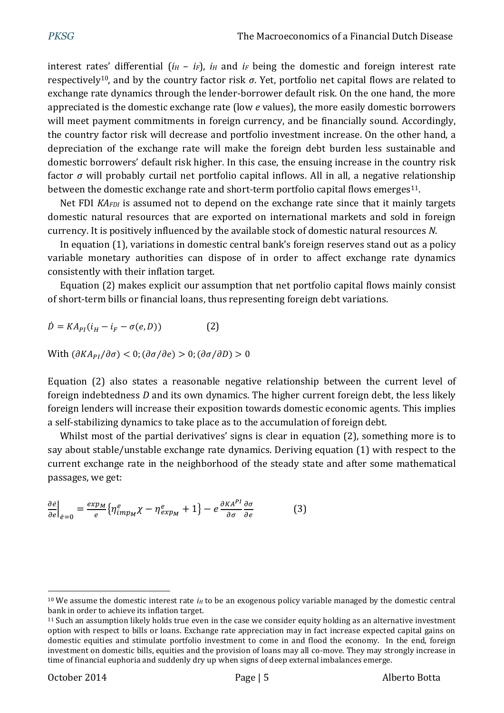interest rates' differential  $(i_H - i_F)$ ,  $i_H$  and  $i_F$  being the domestic and foreign interest rate respectively10, and by the country factor risk *σ*. Yet, portfolio net capital flows are related to exchange rate dynamics through the lender-borrower default risk. On the one hand, the more appreciated is the domestic exchange rate (low *e* values), the more easily domestic borrowers will meet payment commitments in foreign currency, and be financially sound. Accordingly, the country factor risk will decrease and portfolio investment increase. On the other hand, a depreciation of the exchange rate will make the foreign debt burden less sustainable and domestic borrowers' default risk higher. In this case, the ensuing increase in the country risk factor *σ* will probably curtail net portfolio capital inflows. All in all, a negative relationship between the domestic exchange rate and short-term portfolio capital flows emerges<sup>11</sup>.

Net FDI *KAFDI* is assumed not to depend on the exchange rate since that it mainly targets domestic natural resources that are exported on international markets and sold in foreign currency. It is positively influenced by the available stock of domestic natural resources *N*.

In equation (1), variations in domestic central bank's foreign reserves stand out as a policy variable monetary authorities can dispose of in order to affect exchange rate dynamics consistently with their inflation target.

Equation (2) makes explicit our assumption that net portfolio capital flows mainly consist of short-term bills or financial loans, thus representing foreign debt variations.

 $\dot{D} = KA_{PI}(i_H - i_F - \sigma(e,D))$  (2)

With  $(\partial K A_{PI}/\partial \sigma) < 0$ ;  $(\partial \sigma / \partial e) > 0$ ;  $(\partial \sigma / \partial D) > 0$ 

Equation (2) also states a reasonable negative relationship between the current level of foreign indebtedness *D* and its own dynamics. The higher current foreign debt, the less likely foreign lenders will increase their exposition towards domestic economic agents. This implies a self-stabilizing dynamics to take place as to the accumulation of foreign debt.

Whilst most of the partial derivatives' signs is clear in equation (2), something more is to say about stable/unstable exchange rate dynamics. Deriving equation (1) with respect to the current exchange rate in the neighborhood of the steady state and after some mathematical passages, we get:

$$
\left. \frac{\partial e}{\partial e} \right|_{e=0} = \frac{exp_M}{e} \{ \eta_{imp_M}^e \chi - \eta_{exp_M}^e + 1 \} - e \frac{\partial K A^{PI}}{\partial \sigma} \frac{\partial \sigma}{\partial e} \tag{3}
$$

 $\overline{a}$ <sup>10</sup> We assume the domestic interest rate  $i<sub>H</sub>$  to be an exogenous policy variable managed by the domestic central bank in order to achieve its inflation target.

<sup>&</sup>lt;sup>11</sup> Such an assumption likely holds true even in the case we consider equity holding as an alternative investment option with respect to bills or loans. Exchange rate appreciation may in fact increase expected capital gains on domestic equities and stimulate portfolio investment to come in and flood the economy. In the end, foreign investment on domestic bills, equities and the provision of loans may all co-move. They may strongly increase in time of financial euphoria and suddenly dry up when signs of deep external imbalances emerge.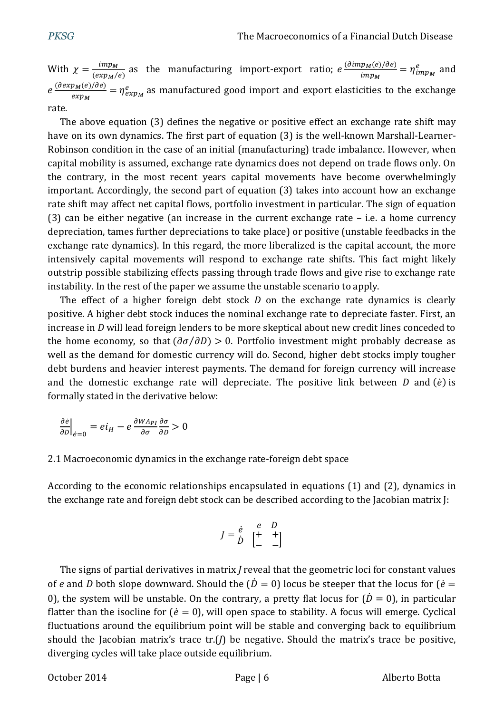With  $\chi = \frac{imp_M}{\sqrt{2m}}$  $\frac{imp_M}{(exp_M/e)}$  as the manufacturing import-export ratio;  $e^{\frac{(\partial imp_M(e)/\partial e)}{imp_M}}$  $\frac{p_M(e)/oe)}{imp_M} = \eta_{imp_M}^e$  and  $e^{\frac{(\partial exp_M(e)/\partial e)}{2}}$  $\frac{p_M(e)/\partial e_J}{e_{Xp_M}} = \eta^e_{exp_M}$  as manufactured good import and export elasticities to the exchange rate.

The above equation (3) defines the negative or positive effect an exchange rate shift may have on its own dynamics. The first part of equation (3) is the well-known Marshall-Learner-Robinson condition in the case of an initial (manufacturing) trade imbalance. However, when capital mobility is assumed, exchange rate dynamics does not depend on trade flows only. On the contrary, in the most recent years capital movements have become overwhelmingly important. Accordingly, the second part of equation (3) takes into account how an exchange rate shift may affect net capital flows, portfolio investment in particular. The sign of equation (3) can be either negative (an increase in the current exchange rate – i.e. a home currency depreciation, tames further depreciations to take place) or positive (unstable feedbacks in the exchange rate dynamics). In this regard, the more liberalized is the capital account, the more intensively capital movements will respond to exchange rate shifts. This fact might likely outstrip possible stabilizing effects passing through trade flows and give rise to exchange rate instability. In the rest of the paper we assume the unstable scenario to apply.

The effect of a higher foreign debt stock *D* on the exchange rate dynamics is clearly positive. A higher debt stock induces the nominal exchange rate to depreciate faster. First, an increase in *D* will lead foreign lenders to be more skeptical about new credit lines conceded to the home economy, so that  $(\partial \sigma / \partial D) > 0$ . Portfolio investment might probably decrease as well as the demand for domestic currency will do. Second, higher debt stocks imply tougher debt burdens and heavier interest payments. The demand for foreign currency will increase and the domestic exchange rate will depreciate. The positive link between  $D$  and  $(\dot{e})$  is formally stated in the derivative below:

$$
\left. \frac{\partial e}{\partial D} \right|_{e=0} = ei_H - e \frac{\partial W A_{PI}}{\partial \sigma} \frac{\partial \sigma}{\partial D} > 0
$$

## 2.1 Macroeconomic dynamics in the exchange rate-foreign debt space

According to the economic relationships encapsulated in equations (1) and (2), dynamics in the exchange rate and foreign debt stock can be described according to the Jacobian matrix J:

$$
J = \begin{matrix} \dot{e} & e & D \\ \dot{D} & \begin{bmatrix} + & + \\ - & - \end{bmatrix} \end{matrix}
$$

The signs of partial derivatives in matrix *J* reveal that the geometric loci for constant values of *e* and *D* both slope downward. Should the  $(\dot{D} = 0)$  locus be steeper that the locus for  $(\dot{e} = 0)$ 0), the system will be unstable. On the contrary, a pretty flat locus for  $(\dot{D} = 0)$ , in particular flatter than the isocline for ( $\dot{e} = 0$ ), will open space to stability. A focus will emerge. Cyclical fluctuations around the equilibrium point will be stable and converging back to equilibrium should the Jacobian matrix's trace tr.(*J*) be negative. Should the matrix's trace be positive, diverging cycles will take place outside equilibrium.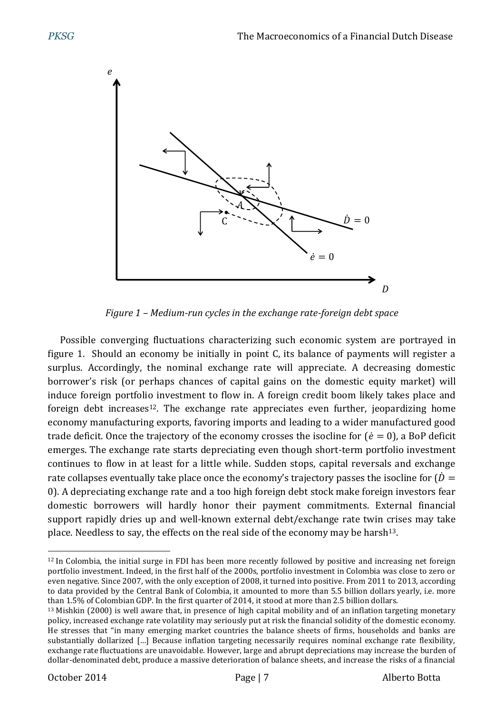

*Figure 1 – Medium-run cycles in the exchange rate-foreign debt space*

Possible converging fluctuations characterizing such economic system are portrayed in figure 1. Should an economy be initially in point C, its balance of payments will register a surplus. Accordingly, the nominal exchange rate will appreciate. A decreasing domestic borrower's risk (or perhaps chances of capital gains on the domestic equity market) will induce foreign portfolio investment to flow in. A foreign credit boom likely takes place and foreign debt increases<sup>12</sup>. The exchange rate appreciates even further, jeopardizing home economy manufacturing exports, favoring imports and leading to a wider manufactured good trade deficit. Once the trajectory of the economy crosses the isocline for  $(\dot{e} = 0)$ , a BoP deficit emerges. The exchange rate starts depreciating even though short-term portfolio investment continues to flow in at least for a little while. Sudden stops, capital reversals and exchange rate collapses eventually take place once the economy's trajectory passes the isocline for  $\dot{D} =$ 0). A depreciating exchange rate and a too high foreign debt stock make foreign investors fear domestic borrowers will hardly honor their payment commitments. External financial support rapidly dries up and well-known external debt/exchange rate twin crises may take place. Needless to say, the effects on the real side of the economy may be harsh<sup>13</sup>.

 $\overline{a}$ <sup>12</sup> In Colombia, the initial surge in FDI has been more recently followed by positive and increasing net foreign portfolio investment. Indeed, in the first half of the 2000s, portfolio investment in Colombia was close to zero or even negative. Since 2007, with the only exception of 2008, it turned into positive. From 2011 to 2013, according to data provided by the Central Bank of Colombia, it amounted to more than 5.5 billion dollars yearly, i.e. more than 1.5% of Colombian GDP. In the first quarter of 2014, it stood at more than 2.5 billion dollars.

<sup>&</sup>lt;sup>13</sup> Mishkin (2000) is well aware that, in presence of high capital mobility and of an inflation targeting monetary policy, increased exchange rate volatility may seriously put at risk the financial solidity of the domestic economy. He stresses that "in many emerging market countries the balance sheets of firms, households and banks are substantially dollarized […] Because inflation targeting necessarily requires nominal exchange rate flexibility, exchange rate fluctuations are unavoidable. However, large and abrupt depreciations may increase the burden of dollar-denominated debt, produce a massive deterioration of balance sheets, and increase the risks of a financial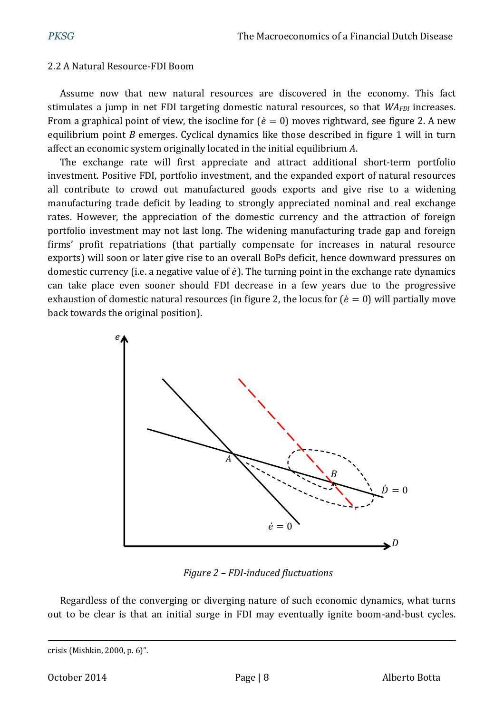### 2.2 A Natural Resource-FDI Boom

Assume now that new natural resources are discovered in the economy. This fact stimulates a jump in net FDI targeting domestic natural resources, so that *WAFDI* increases. From a graphical point of view, the isocline for ( $\dot{e} = 0$ ) moves rightward, see figure 2. A new equilibrium point *B* emerges. Cyclical dynamics like those described in figure 1 will in turn affect an economic system originally located in the initial equilibrium *A*.

The exchange rate will first appreciate and attract additional short-term portfolio investment. Positive FDI, portfolio investment, and the expanded export of natural resources all contribute to crowd out manufactured goods exports and give rise to a widening manufacturing trade deficit by leading to strongly appreciated nominal and real exchange rates. However, the appreciation of the domestic currency and the attraction of foreign portfolio investment may not last long. The widening manufacturing trade gap and foreign firms' profit repatriations (that partially compensate for increases in natural resource exports) will soon or later give rise to an overall BoPs deficit, hence downward pressures on domestic currency (i.e. a negative value of  $\dot{e}$ ). The turning point in the exchange rate dynamics can take place even sooner should FDI decrease in a few years due to the progressive exhaustion of domestic natural resources (in figure 2, the locus for ( $\dot{e} = 0$ ) will partially move back towards the original position).



*Figure 2 – FDI-induced fluctuations*

Regardless of the converging or diverging nature of such economic dynamics, what turns out to be clear is that an initial surge in FDI may eventually ignite boom-and-bust cycles.

crisis (Mishkin, 2000, p. 6)".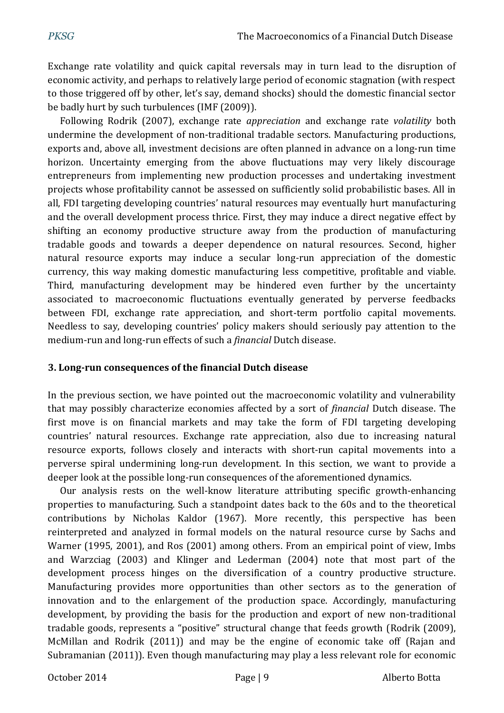Exchange rate volatility and quick capital reversals may in turn lead to the disruption of economic activity, and perhaps to relatively large period of economic stagnation (with respect to those triggered off by other, let's say, demand shocks) should the domestic financial sector be badly hurt by such turbulences (IMF (2009)).

Following Rodrik (2007), exchange rate *appreciation* and exchange rate *volatility* both undermine the development of non-traditional tradable sectors. Manufacturing productions, exports and, above all, investment decisions are often planned in advance on a long-run time horizon. Uncertainty emerging from the above fluctuations may very likely discourage entrepreneurs from implementing new production processes and undertaking investment projects whose profitability cannot be assessed on sufficiently solid probabilistic bases. All in all, FDI targeting developing countries' natural resources may eventually hurt manufacturing and the overall development process thrice. First, they may induce a direct negative effect by shifting an economy productive structure away from the production of manufacturing tradable goods and towards a deeper dependence on natural resources. Second, higher natural resource exports may induce a secular long-run appreciation of the domestic currency, this way making domestic manufacturing less competitive, profitable and viable. Third, manufacturing development may be hindered even further by the uncertainty associated to macroeconomic fluctuations eventually generated by perverse feedbacks between FDI, exchange rate appreciation, and short-term portfolio capital movements. Needless to say, developing countries' policy makers should seriously pay attention to the medium-run and long-run effects of such a *financial* Dutch disease.

## **3. Long-run consequences of the financial Dutch disease**

In the previous section, we have pointed out the macroeconomic volatility and vulnerability that may possibly characterize economies affected by a sort of *financial* Dutch disease. The first move is on financial markets and may take the form of FDI targeting developing countries' natural resources. Exchange rate appreciation, also due to increasing natural resource exports, follows closely and interacts with short-run capital movements into a perverse spiral undermining long-run development. In this section, we want to provide a deeper look at the possible long-run consequences of the aforementioned dynamics.

Our analysis rests on the well-know literature attributing specific growth-enhancing properties to manufacturing. Such a standpoint dates back to the 60s and to the theoretical contributions by Nicholas Kaldor (1967). More recently, this perspective has been reinterpreted and analyzed in formal models on the natural resource curse by Sachs and Warner (1995, 2001), and Ros (2001) among others. From an empirical point of view, Imbs and Warzciag (2003) and Klinger and Lederman (2004) note that most part of the development process hinges on the diversification of a country productive structure. Manufacturing provides more opportunities than other sectors as to the generation of innovation and to the enlargement of the production space. Accordingly, manufacturing development, by providing the basis for the production and export of new non-traditional tradable goods, represents a "positive" structural change that feeds growth (Rodrik (2009), McMillan and Rodrik (2011)) and may be the engine of economic take off (Rajan and Subramanian (2011)). Even though manufacturing may play a less relevant role for economic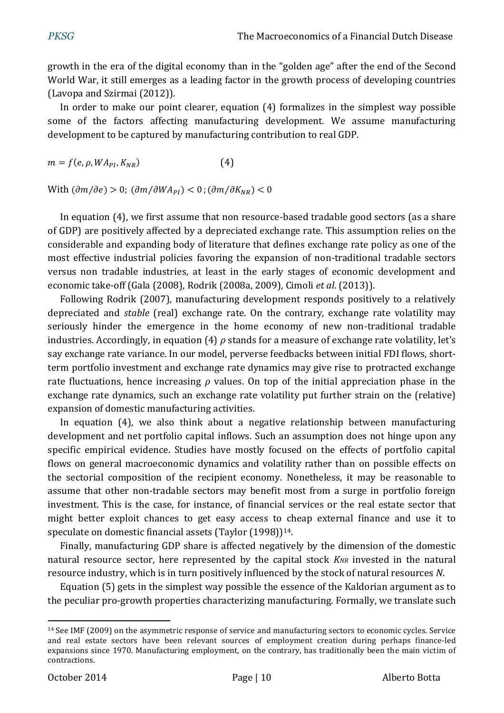growth in the era of the digital economy than in the "golden age" after the end of the Second World War, it still emerges as a leading factor in the growth process of developing countries (Lavopa and Szirmai (2012)).

In order to make our point clearer, equation (4) formalizes in the simplest way possible some of the factors affecting manufacturing development. We assume manufacturing development to be captured by manufacturing contribution to real GDP.

 $m = f(e, \rho, WA_{PI}, K_{NR})$  (4)

With  $(\partial m/\partial e) > 0$ ;  $(\partial m/\partial WA_{PI}) < 0$ ;  $(\partial m/\partial K_{NR}) < 0$ 

In equation (4), we first assume that non resource-based tradable good sectors (as a share of GDP) are positively affected by a depreciated exchange rate. This assumption relies on the considerable and expanding body of literature that defines exchange rate policy as one of the most effective industrial policies favoring the expansion of non-traditional tradable sectors versus non tradable industries, at least in the early stages of economic development and economic take-off (Gala (2008), Rodrik (2008a, 2009), Cimoli *et al*. (2013)).

Following Rodrik (2007), manufacturing development responds positively to a relatively depreciated and *stable* (real) exchange rate. On the contrary, exchange rate volatility may seriously hinder the emergence in the home economy of new non-traditional tradable industries. Accordingly, in equation (4) *ρ* stands for a measure of exchange rate volatility, let's say exchange rate variance. In our model, perverse feedbacks between initial FDI flows, shortterm portfolio investment and exchange rate dynamics may give rise to protracted exchange rate fluctuations, hence increasing *ρ* values. On top of the initial appreciation phase in the exchange rate dynamics, such an exchange rate volatility put further strain on the (relative) expansion of domestic manufacturing activities.

In equation (4), we also think about a negative relationship between manufacturing development and net portfolio capital inflows. Such an assumption does not hinge upon any specific empirical evidence. Studies have mostly focused on the effects of portfolio capital flows on general macroeconomic dynamics and volatility rather than on possible effects on the sectorial composition of the recipient economy. Nonetheless, it may be reasonable to assume that other non-tradable sectors may benefit most from a surge in portfolio foreign investment. This is the case, for instance, of financial services or the real estate sector that might better exploit chances to get easy access to cheap external finance and use it to speculate on domestic financial assets (Taylor (1998)) 14.

Finally, manufacturing GDP share is affected negatively by the dimension of the domestic natural resource sector, here represented by the capital stock *KNR* invested in the natural resource industry, which is in turn positively influenced by the stock of natural resources *N*.

Equation (5) gets in the simplest way possible the essence of the Kaldorian argument as to the peculiar pro-growth properties characterizing manufacturing. Formally, we translate such

<sup>14</sup> See IMF (2009) on the asymmetric response of service and manufacturing sectors to economic cycles. Service and real estate sectors have been relevant sources of employment creation during perhaps finance-led expansions since 1970. Manufacturing employment, on the contrary, has traditionally been the main victim of contractions.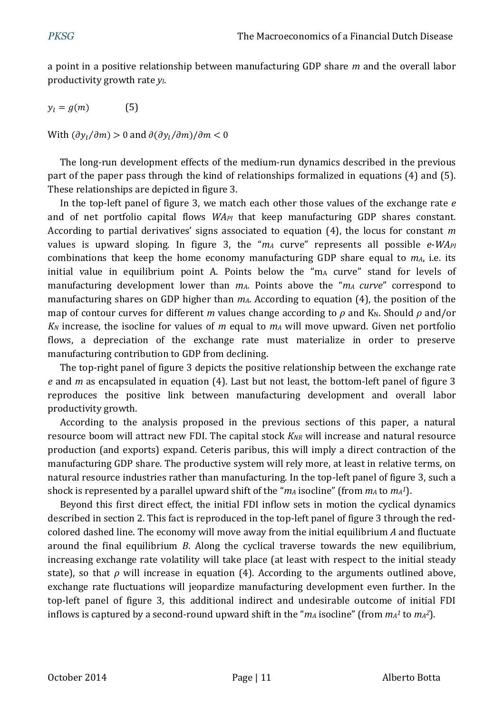a point in a positive relationship between manufacturing GDP share *m* and the overall labor productivity growth rate *yl*.

 $y_l = g(m)$  (5)

With  $(\partial y_l / \partial m) > 0$  and  $\partial (\partial y_l / \partial m) / \partial m < 0$ 

The long-run development effects of the medium-run dynamics described in the previous part of the paper pass through the kind of relationships formalized in equations (4) and (5). These relationships are depicted in figure 3.

In the top-left panel of figure 3, we match each other those values of the exchange rate *e* and of net portfolio capital flows *WAPI* that keep manufacturing GDP shares constant. According to partial derivatives' signs associated to equation (4), the locus for constant *m* values is upward sloping. In figure 3, the "*m<sup>A</sup>* curve" represents all possible *e*-*WAPI* combinations that keep the home economy manufacturing GDP share equal to *mA*, i.e. its initial value in equilibrium point A. Points below the "m<sub>A</sub> curve" stand for levels of manufacturing development lower than *mA*. Points above the "*m<sup>A</sup> curve*" correspond to manufacturing shares on GDP higher than *mA*. According to equation (4), the position of the map of contour curves for different *m* values change according to *ρ* and K<sub>N</sub>. Should *ρ* and/or *K<sup>N</sup>* increase, the isocline for values of *m* equal to *m<sup>A</sup>* will move upward. Given net portfolio flows, a depreciation of the exchange rate must materialize in order to preserve manufacturing contribution to GDP from declining.

The top-right panel of figure 3 depicts the positive relationship between the exchange rate *e* and *m* as encapsulated in equation (4). Last but not least, the bottom-left panel of figure 3 reproduces the positive link between manufacturing development and overall labor productivity growth.

According to the analysis proposed in the previous sections of this paper, a natural resource boom will attract new FDI. The capital stock *KNR* will increase and natural resource production (and exports) expand. Ceteris paribus, this will imply a direct contraction of the manufacturing GDP share. The productive system will rely more, at least in relative terms, on natural resource industries rather than manufacturing. In the top-left panel of figure 3, such a shock is represented by a parallel upward shift of the "*m<sup>A</sup>* isocline" (from *m<sup>A</sup>* to *m<sup>A</sup> 1*).

Beyond this first direct effect, the initial FDI inflow sets in motion the cyclical dynamics described in section 2. This fact is reproduced in the top-left panel of figure 3 through the redcolored dashed line. The economy will move away from the initial equilibrium *A* and fluctuate around the final equilibrium *B*. Along the cyclical traverse towards the new equilibrium, increasing exchange rate volatility will take place (at least with respect to the initial steady state), so that  $\rho$  will increase in equation (4). According to the arguments outlined above, exchange rate fluctuations will jeopardize manufacturing development even further. In the top-left panel of figure 3, this additional indirect and undesirable outcome of initial FDI inflows is captured by a second-round upward shift in the " $m_A$  isocline" (from  $m_A{}^1$  to  $m_A{}^2$ ).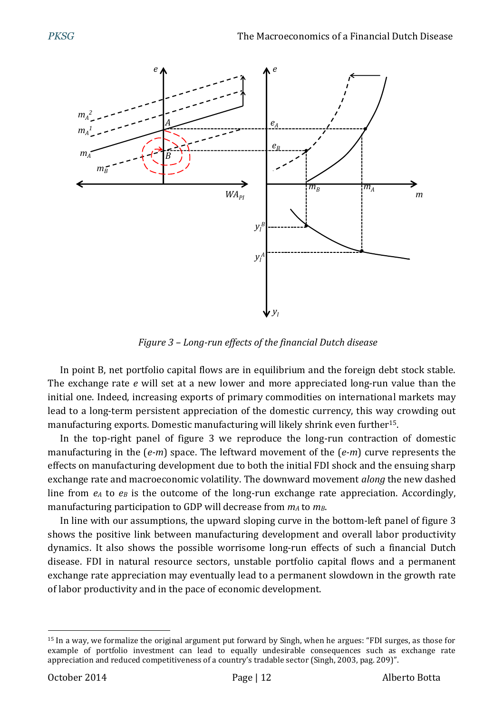

*Figure 3 – Long-run effects of the financial Dutch disease*

In point B, net portfolio capital flows are in equilibrium and the foreign debt stock stable. The exchange rate *e* will set at a new lower and more appreciated long-run value than the initial one. Indeed, increasing exports of primary commodities on international markets may lead to a long-term persistent appreciation of the domestic currency, this way crowding out manufacturing exports. Domestic manufacturing will likely shrink even further15.

In the top-right panel of figure 3 we reproduce the long-run contraction of domestic manufacturing in the (*e-m*) space. The leftward movement of the (*e-m*) curve represents the effects on manufacturing development due to both the initial FDI shock and the ensuing sharp exchange rate and macroeconomic volatility. The downward movement *along* the new dashed line from *e<sup>A</sup>* to *e<sup>B</sup>* is the outcome of the long-run exchange rate appreciation. Accordingly, manufacturing participation to GDP will decrease from *m<sup>A</sup>* to *mB*.

In line with our assumptions, the upward sloping curve in the bottom-left panel of figure 3 shows the positive link between manufacturing development and overall labor productivity dynamics. It also shows the possible worrisome long-run effects of such a financial Dutch disease. FDI in natural resource sectors, unstable portfolio capital flows and a permanent exchange rate appreciation may eventually lead to a permanent slowdown in the growth rate of labor productivity and in the pace of economic development.

 $\overline{a}$ <sup>15</sup> In a way, we formalize the original argument put forward by Singh, when he argues: "FDI surges, as those for example of portfolio investment can lead to equally undesirable consequences such as exchange rate appreciation and reduced competitiveness of a country's tradable sector (Singh, 2003, pag. 209)".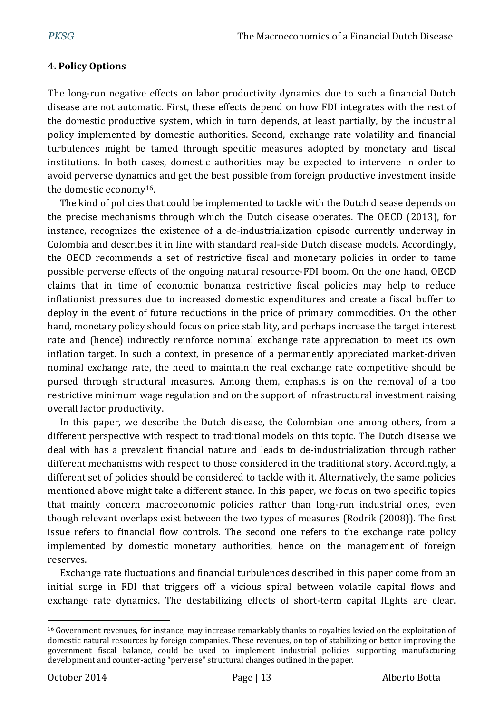## **4. Policy Options**

The long-run negative effects on labor productivity dynamics due to such a financial Dutch disease are not automatic. First, these effects depend on how FDI integrates with the rest of the domestic productive system, which in turn depends, at least partially, by the industrial policy implemented by domestic authorities. Second, exchange rate volatility and financial turbulences might be tamed through specific measures adopted by monetary and fiscal institutions. In both cases, domestic authorities may be expected to intervene in order to avoid perverse dynamics and get the best possible from foreign productive investment inside the domestic economy16.

The kind of policies that could be implemented to tackle with the Dutch disease depends on the precise mechanisms through which the Dutch disease operates. The OECD (2013), for instance, recognizes the existence of a de-industrialization episode currently underway in Colombia and describes it in line with standard real-side Dutch disease models. Accordingly, the OECD recommends a set of restrictive fiscal and monetary policies in order to tame possible perverse effects of the ongoing natural resource-FDI boom. On the one hand, OECD claims that in time of economic bonanza restrictive fiscal policies may help to reduce inflationist pressures due to increased domestic expenditures and create a fiscal buffer to deploy in the event of future reductions in the price of primary commodities. On the other hand, monetary policy should focus on price stability, and perhaps increase the target interest rate and (hence) indirectly reinforce nominal exchange rate appreciation to meet its own inflation target. In such a context, in presence of a permanently appreciated market-driven nominal exchange rate, the need to maintain the real exchange rate competitive should be pursed through structural measures. Among them, emphasis is on the removal of a too restrictive minimum wage regulation and on the support of infrastructural investment raising overall factor productivity.

In this paper, we describe the Dutch disease, the Colombian one among others, from a different perspective with respect to traditional models on this topic. The Dutch disease we deal with has a prevalent financial nature and leads to de-industrialization through rather different mechanisms with respect to those considered in the traditional story. Accordingly, a different set of policies should be considered to tackle with it. Alternatively, the same policies mentioned above might take a different stance. In this paper, we focus on two specific topics that mainly concern macroeconomic policies rather than long-run industrial ones, even though relevant overlaps exist between the two types of measures (Rodrik (2008)). The first issue refers to financial flow controls. The second one refers to the exchange rate policy implemented by domestic monetary authorities, hence on the management of foreign reserves.

Exchange rate fluctuations and financial turbulences described in this paper come from an initial surge in FDI that triggers off a vicious spiral between volatile capital flows and exchange rate dynamics. The destabilizing effects of short-term capital flights are clear.

<sup>16</sup> Government revenues, for instance, may increase remarkably thanks to royalties levied on the exploitation of domestic natural resources by foreign companies. These revenues, on top of stabilizing or better improving the government fiscal balance, could be used to implement industrial policies supporting manufacturing development and counter-acting "perverse" structural changes outlined in the paper.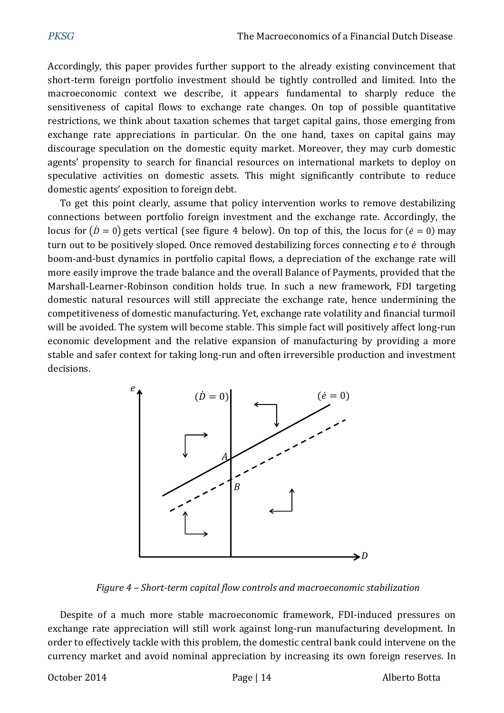Accordingly, this paper provides further support to the already existing convincement that short-term foreign portfolio investment should be tightly controlled and limited. Into the macroeconomic context we describe, it appears fundamental to sharply reduce the sensitiveness of capital flows to exchange rate changes. On top of possible quantitative restrictions, we think about taxation schemes that target capital gains, those emerging from exchange rate appreciations in particular. On the one hand, taxes on capital gains may discourage speculation on the domestic equity market. Moreover, they may curb domestic agents' propensity to search for financial resources on international markets to deploy on speculative activities on domestic assets. This might significantly contribute to reduce domestic agents' exposition to foreign debt.

To get this point clearly, assume that policy intervention works to remove destabilizing connections between portfolio foreign investment and the exchange rate. Accordingly, the locus for  $(\dot{D} = 0)$  gets vertical (see figure 4 below). On top of this, the locus for  $(\dot{e} = 0)$  may turn out to be positively sloped. Once removed destabilizing forces connecting *e* to *e* through boom-and-bust dynamics in portfolio capital flows, a depreciation of the exchange rate will more easily improve the trade balance and the overall Balance of Payments, provided that the Marshall-Learner-Robinson condition holds true. In such a new framework, FDI targeting domestic natural resources will still appreciate the exchange rate, hence undermining the competitiveness of domestic manufacturing. Yet, exchange rate volatility and financial turmoil will be avoided. The system will become stable. This simple fact will positively affect long-run economic development and the relative expansion of manufacturing by providing a more stable and safer context for taking long-run and often irreversible production and investment decisions.



*Figure 4 – Short-term capital flow controls and macroeconomic stabilization*

Despite of a much more stable macroeconomic framework, FDI-induced pressures on exchange rate appreciation will still work against long-run manufacturing development. In order to effectively tackle with this problem, the domestic central bank could intervene on the currency market and avoid nominal appreciation by increasing its own foreign reserves. In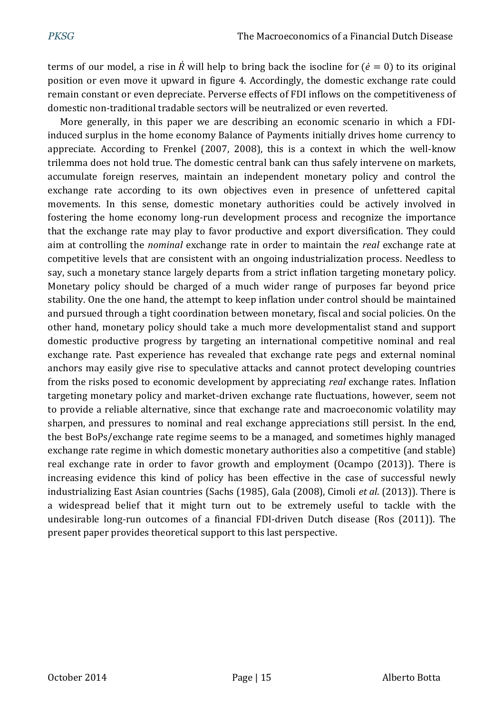terms of our model, a rise in  $\hat{R}$  will help to bring back the isocline for  $(\hat{e} = 0)$  to its original position or even move it upward in figure 4. Accordingly, the domestic exchange rate could remain constant or even depreciate. Perverse effects of FDI inflows on the competitiveness of domestic non-traditional tradable sectors will be neutralized or even reverted.

More generally, in this paper we are describing an economic scenario in which a FDIinduced surplus in the home economy Balance of Payments initially drives home currency to appreciate. According to Frenkel (2007, 2008), this is a context in which the well-know trilemma does not hold true. The domestic central bank can thus safely intervene on markets, accumulate foreign reserves, maintain an independent monetary policy and control the exchange rate according to its own objectives even in presence of unfettered capital movements. In this sense, domestic monetary authorities could be actively involved in fostering the home economy long-run development process and recognize the importance that the exchange rate may play to favor productive and export diversification. They could aim at controlling the *nominal* exchange rate in order to maintain the *real* exchange rate at competitive levels that are consistent with an ongoing industrialization process. Needless to say, such a monetary stance largely departs from a strict inflation targeting monetary policy. Monetary policy should be charged of a much wider range of purposes far beyond price stability. One the one hand, the attempt to keep inflation under control should be maintained and pursued through a tight coordination between monetary, fiscal and social policies. On the other hand, monetary policy should take a much more developmentalist stand and support domestic productive progress by targeting an international competitive nominal and real exchange rate. Past experience has revealed that exchange rate pegs and external nominal anchors may easily give rise to speculative attacks and cannot protect developing countries from the risks posed to economic development by appreciating *real* exchange rates. Inflation targeting monetary policy and market-driven exchange rate fluctuations, however, seem not to provide a reliable alternative, since that exchange rate and macroeconomic volatility may sharpen, and pressures to nominal and real exchange appreciations still persist. In the end, the best BoPs/exchange rate regime seems to be a managed, and sometimes highly managed exchange rate regime in which domestic monetary authorities also a competitive (and stable) real exchange rate in order to favor growth and employment (Ocampo (2013)). There is increasing evidence this kind of policy has been effective in the case of successful newly industrializing East Asian countries (Sachs (1985), Gala (2008), Cimoli *et al*. (2013)). There is a widespread belief that it might turn out to be extremely useful to tackle with the undesirable long-run outcomes of a financial FDI-driven Dutch disease (Ros (2011)). The present paper provides theoretical support to this last perspective.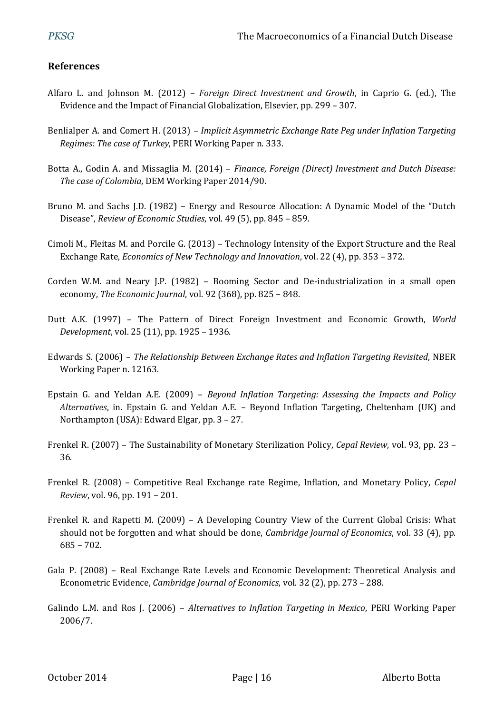### **References**

- Alfaro L. and Johnson M. (2012) *Foreign Direct Investment and Growth*, in Caprio G. (ed.), The Evidence and the Impact of Financial Globalization, Elsevier, pp. 299 – 307.
- Benlialper A. and Comert H. (2013) *Implicit Asymmetric Exchange Rate Peg under Inflation Targeting Regimes: The case of Turkey*, PERI Working Paper n. 333.
- Botta A., Godin A. and Missaglia M. (2014) *Finance, Foreign (Direct) Investment and Dutch Disease: The case of Colombia*, DEM Working Paper 2014/90.
- Bruno M. and Sachs J.D. (1982) Energy and Resource Allocation: A Dynamic Model of the "Dutch Disease", *Review of Economic Studies*, vol. 49 (5), pp. 845 – 859.
- Cimoli M., Fleitas M. and Porcile G. (2013) Technology Intensity of the Export Structure and the Real Exchange Rate, *Economics of New Technology and Innovation*, vol. 22 (4), pp. 353 – 372.
- Corden W.M. and Neary J.P. (1982) Booming Sector and De-industrialization in a small open economy, *The Economic Journal*, vol. 92 (368), pp. 825 – 848.
- Dutt A.K. (1997) The Pattern of Direct Foreign Investment and Economic Growth, *World Development*, vol. 25 (11), pp. 1925 – 1936.
- Edwards S. (2006) *The Relationship Between Exchange Rates and Inflation Targeting Revisited*, NBER Working Paper n. 12163.
- Epstain G. and Yeldan A.E. (2009) *Beyond Inflation Targeting: Assessing the Impacts and Policy Alternatives*, in. Epstain G. and Yeldan A.E. – Beyond Inflation Targeting, Cheltenham (UK) and Northampton (USA): Edward Elgar, pp. 3 – 27.
- Frenkel R. (2007) The Sustainability of Monetary Sterilization Policy, *Cepal Review*, vol. 93, pp. 23 36.
- Frenkel R. (2008) Competitive Real Exchange rate Regime, Inflation, and Monetary Policy, *Cepal Review*, vol. 96, pp. 191 – 201.
- Frenkel R. and Rapetti M. (2009) A Developing Country View of the Current Global Crisis: What should not be forgotten and what should be done, *Cambridge Journal of Economics*, vol. 33 (4), pp. 685 – 702.
- Gala P. (2008) Real Exchange Rate Levels and Economic Development: Theoretical Analysis and Econometric Evidence, *Cambridge Journal of Economics*, vol. 32 (2), pp. 273 – 288.
- Galindo L.M. and Ros J. (2006) *Alternatives to Inflation Targeting in Mexico*, PERI Working Paper 2006/7.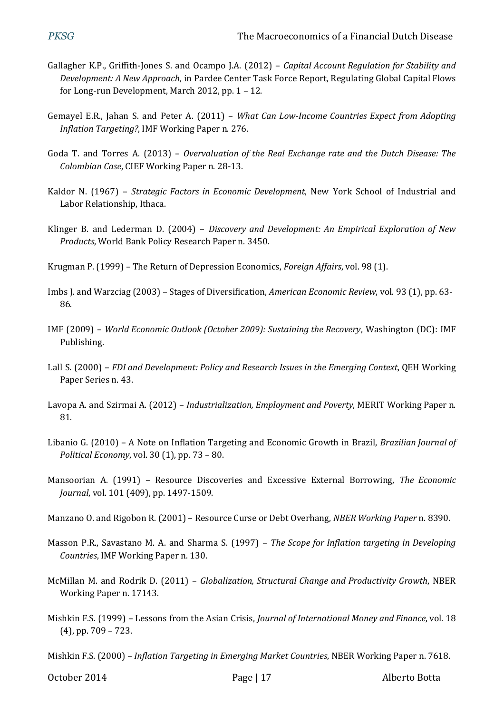- Gallagher K.P., Griffith-Jones S. and Ocampo J.A. (2012) *Capital Account Regulation for Stability and Development: A New Approach*, in Pardee Center Task Force Report, Regulating Global Capital Flows for Long-run Development, March 2012, pp. 1 – 12.
- Gemayel E.R., Jahan S. and Peter A. (2011) *What Can Low-Income Countries Expect from Adopting Inflation Targeting?*, IMF Working Paper n. 276.
- Goda T. and Torres A. (2013) *Overvaluation of the Real Exchange rate and the Dutch Disease: The Colombian Case*, CIEF Working Paper n. 28-13.
- Kaldor N. (1967) *Strategic Factors in Economic Development*, New York School of Industrial and Labor Relationship, Ithaca.
- Klinger B. and Lederman D. (2004) *Discovery and Development: An Empirical Exploration of New Products*, World Bank Policy Research Paper n. 3450.
- Krugman P. (1999) The Return of Depression Economics, *Foreign Affairs*, vol. 98 (1).
- Imbs J. and Warzciag (2003) Stages of Diversification, *American Economic Review*, vol. 93 (1), pp. 63- 86.
- IMF (2009) *World Economic Outlook (October 2009): Sustaining the Recovery*, Washington (DC): IMF Publishing.
- Lall S. (2000) *FDI and Development: Policy and Research Issues in the Emerging Context*, QEH Working Paper Series n. 43.
- Lavopa A. and Szirmai A. (2012) *Industrialization, Employment and Poverty*, MERIT Working Paper n. 81.
- Libanio G. (2010) A Note on Inflation Targeting and Economic Growth in Brazil, *Brazilian Journal of Political Economy*, vol. 30 (1), pp. 73 – 80.
- Mansoorian A. (1991) Resource Discoveries and Excessive External Borrowing, *The Economic Journal*, vol. 101 (409), pp. 1497-1509.
- Manzano O. and Rigobon R. (2001) Resource Curse or Debt Overhang, *NBER Working Paper* n. 8390.
- Masson P.R., Savastano M. A. and Sharma S. (1997) *The Scope for Inflation targeting in Developing Countries*, IMF Working Paper n. 130.
- McMillan M. and Rodrik D. (2011) *Globalization, Structural Change and Productivity Growth*, NBER Working Paper n. 17143.
- Mishkin F.S. (1999) Lessons from the Asian Crisis, *Journal of International Money and Finance*, vol. 18 (4), pp. 709 – 723.
- Mishkin F.S. (2000) *Inflation Targeting in Emerging Market Countries*, NBER Working Paper n. 7618.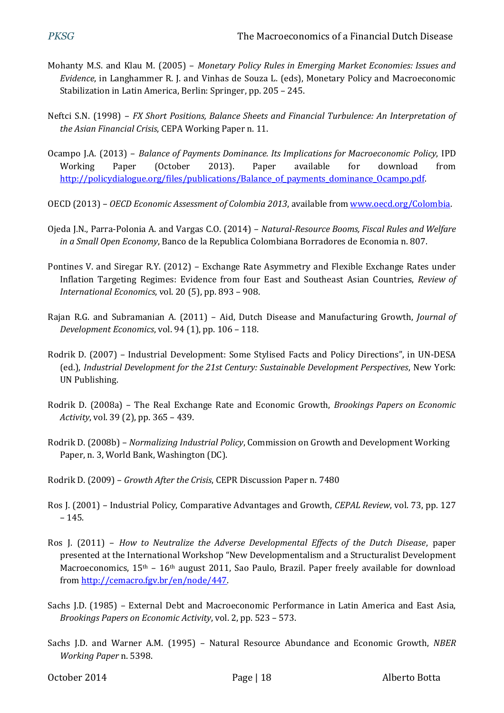- Mohanty M.S. and Klau M. (2005) *Monetary Policy Rules in Emerging Market Economies: Issues and Evidence*, in Langhammer R. J. and Vinhas de Souza L. (eds), Monetary Policy and Macroeconomic Stabilization in Latin America, Berlin: Springer, pp. 205 – 245.
- Neftci S.N. (1998) *FX Short Positions, Balance Sheets and Financial Turbulence: An Interpretation of the Asian Financial Crisis*, CEPA Working Paper n. 11.
- Ocampo J.A. (2013) *Balance of Payments Dominance. Its Implications for Macroeconomic Policy*, IPD Working Paper (October 2013). Paper available for download from [http://policydialogue.org/files/publications/Balance\\_of\\_payments\\_dominance\\_Ocampo.pdf.](http://policydialogue.org/files/publications/Balance_of_payments_dominance_Ocampo.pdf)
- OECD (2013) *OECD Economic Assessment of Colombia 2013*, available fro[m www.oecd.org/Colombia.](http://www.oecd.org/Colombia)
- Ojeda J.N., Parra-Polonia A. and Vargas C.O. (2014) *Natural-Resource Booms, Fiscal Rules and Welfare in a Small Open Economy*, Banco de la Republica Colombiana Borradores de Economia n. 807.
- Pontines V. and Siregar R.Y. (2012) Exchange Rate Asymmetry and Flexible Exchange Rates under Inflation Targeting Regimes: Evidence from four East and Southeast Asian Countries, *Review of International Economics*, vol. 20 (5), pp. 893 – 908.
- Rajan R.G. and Subramanian A. (2011) Aid, Dutch Disease and Manufacturing Growth, *Journal of Development Economics*, vol. 94 (1), pp. 106 – 118.
- Rodrik D. (2007) Industrial Development: Some Stylised Facts and Policy Directions", in UN-DESA (ed.), *Industrial Development for the 21st Century: Sustainable Development Perspectives*, New York: UN Publishing.
- Rodrik D. (2008a) The Real Exchange Rate and Economic Growth, *Brookings Papers on Economic Activity*, vol. 39 (2), pp. 365 – 439.
- Rodrik D. (2008b) *Normalizing Industrial Policy*, Commission on Growth and Development Working Paper, n. 3, World Bank, Washington (DC).
- Rodrik D. (2009) *Growth After the Crisis*, CEPR Discussion Paper n. 7480
- Ros J. (2001) Industrial Policy, Comparative Advantages and Growth, *CEPAL Review*, vol. 73, pp. 127 – 145.
- Ros J. (2011) *How to Neutralize the Adverse Developmental Effects of the Dutch Disease*, paper presented at the International Workshop "New Developmentalism and a Structuralist Development Macroeconomics,  $15<sup>th</sup> - 16<sup>th</sup>$  august 2011, Sao Paulo, Brazil. Paper freely available for download from [http://cemacro.fgv.br/en/node/447.](http://cemacro.fgv.br/en/node/447)
- Sachs J.D. (1985) External Debt and Macroeconomic Performance in Latin America and East Asia, *Brookings Papers on Economic Activity*, vol. 2, pp. 523 – 573.
- Sachs J.D. and Warner A.M. (1995) Natural Resource Abundance and Economic Growth, *NBER Working Paper* n. 5398.